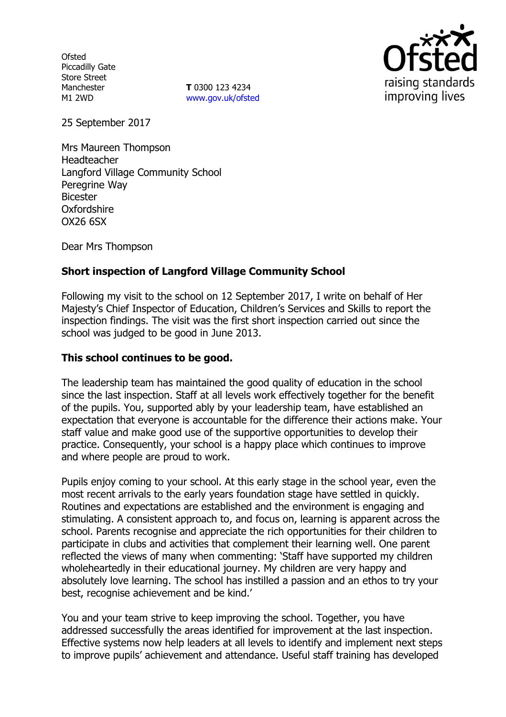**Ofsted** Piccadilly Gate Store Street Manchester M1 2WD

**T** 0300 123 4234 www.gov.uk/ofsted



25 September 2017

Mrs Maureen Thompson Headteacher Langford Village Community School Peregrine Way Bicester Oxfordshire OX26 6SX

Dear Mrs Thompson

# **Short inspection of Langford Village Community School**

Following my visit to the school on 12 September 2017, I write on behalf of Her Majesty's Chief Inspector of Education, Children's Services and Skills to report the inspection findings. The visit was the first short inspection carried out since the school was judged to be good in June 2013.

### **This school continues to be good.**

The leadership team has maintained the good quality of education in the school since the last inspection. Staff at all levels work effectively together for the benefit of the pupils. You, supported ably by your leadership team, have established an expectation that everyone is accountable for the difference their actions make. Your staff value and make good use of the supportive opportunities to develop their practice. Consequently, your school is a happy place which continues to improve and where people are proud to work.

Pupils enjoy coming to your school. At this early stage in the school year, even the most recent arrivals to the early years foundation stage have settled in quickly. Routines and expectations are established and the environment is engaging and stimulating. A consistent approach to, and focus on, learning is apparent across the school. Parents recognise and appreciate the rich opportunities for their children to participate in clubs and activities that complement their learning well. One parent reflected the views of many when commenting: 'Staff have supported my children wholeheartedly in their educational journey. My children are very happy and absolutely love learning. The school has instilled a passion and an ethos to try your best, recognise achievement and be kind.'

You and your team strive to keep improving the school. Together, you have addressed successfully the areas identified for improvement at the last inspection. Effective systems now help leaders at all levels to identify and implement next steps to improve pupils' achievement and attendance. Useful staff training has developed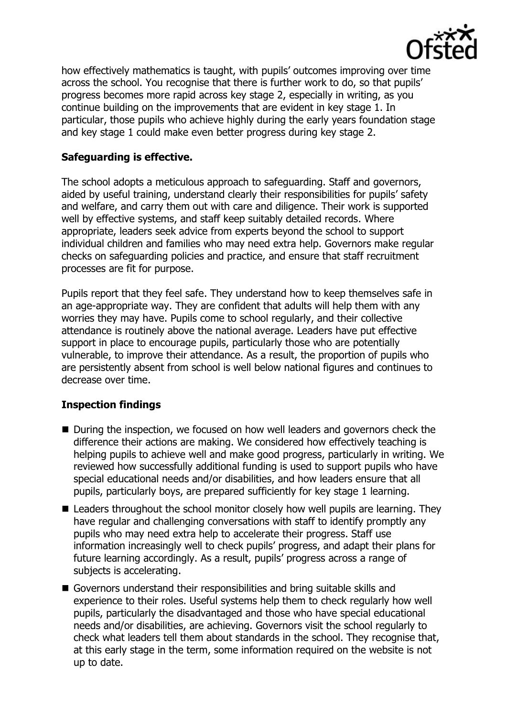

how effectively mathematics is taught, with pupils' outcomes improving over time across the school. You recognise that there is further work to do, so that pupils' progress becomes more rapid across key stage 2, especially in writing, as you continue building on the improvements that are evident in key stage 1. In particular, those pupils who achieve highly during the early years foundation stage and key stage 1 could make even better progress during key stage 2.

# **Safeguarding is effective.**

The school adopts a meticulous approach to safeguarding. Staff and governors, aided by useful training, understand clearly their responsibilities for pupils' safety and welfare, and carry them out with care and diligence. Their work is supported well by effective systems, and staff keep suitably detailed records. Where appropriate, leaders seek advice from experts beyond the school to support individual children and families who may need extra help. Governors make regular checks on safeguarding policies and practice, and ensure that staff recruitment processes are fit for purpose.

Pupils report that they feel safe. They understand how to keep themselves safe in an age-appropriate way. They are confident that adults will help them with any worries they may have. Pupils come to school regularly, and their collective attendance is routinely above the national average. Leaders have put effective support in place to encourage pupils, particularly those who are potentially vulnerable, to improve their attendance. As a result, the proportion of pupils who are persistently absent from school is well below national figures and continues to decrease over time.

### **Inspection findings**

- During the inspection, we focused on how well leaders and governors check the difference their actions are making. We considered how effectively teaching is helping pupils to achieve well and make good progress, particularly in writing. We reviewed how successfully additional funding is used to support pupils who have special educational needs and/or disabilities, and how leaders ensure that all pupils, particularly boys, are prepared sufficiently for key stage 1 learning.
- Leaders throughout the school monitor closely how well pupils are learning. They have regular and challenging conversations with staff to identify promptly any pupils who may need extra help to accelerate their progress. Staff use information increasingly well to check pupils' progress, and adapt their plans for future learning accordingly. As a result, pupils' progress across a range of subjects is accelerating.
- Governors understand their responsibilities and bring suitable skills and experience to their roles. Useful systems help them to check regularly how well pupils, particularly the disadvantaged and those who have special educational needs and/or disabilities, are achieving. Governors visit the school regularly to check what leaders tell them about standards in the school. They recognise that, at this early stage in the term, some information required on the website is not up to date.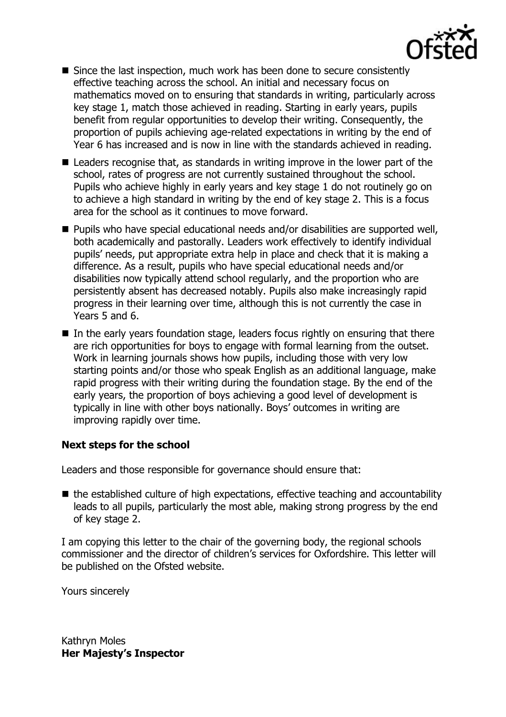

- Since the last inspection, much work has been done to secure consistently effective teaching across the school. An initial and necessary focus on mathematics moved on to ensuring that standards in writing, particularly across key stage 1, match those achieved in reading. Starting in early years, pupils benefit from regular opportunities to develop their writing. Consequently, the proportion of pupils achieving age-related expectations in writing by the end of Year 6 has increased and is now in line with the standards achieved in reading.
- Leaders recognise that, as standards in writing improve in the lower part of the school, rates of progress are not currently sustained throughout the school. Pupils who achieve highly in early years and key stage 1 do not routinely go on to achieve a high standard in writing by the end of key stage 2. This is a focus area for the school as it continues to move forward.
- Pupils who have special educational needs and/or disabilities are supported well, both academically and pastorally. Leaders work effectively to identify individual pupils' needs, put appropriate extra help in place and check that it is making a difference. As a result, pupils who have special educational needs and/or disabilities now typically attend school regularly, and the proportion who are persistently absent has decreased notably. Pupils also make increasingly rapid progress in their learning over time, although this is not currently the case in Years 5 and 6.
- $\blacksquare$  In the early years foundation stage, leaders focus rightly on ensuring that there are rich opportunities for boys to engage with formal learning from the outset. Work in learning journals shows how pupils, including those with very low starting points and/or those who speak English as an additional language, make rapid progress with their writing during the foundation stage. By the end of the early years, the proportion of boys achieving a good level of development is typically in line with other boys nationally. Boys' outcomes in writing are improving rapidly over time.

### **Next steps for the school**

Leaders and those responsible for governance should ensure that:

■ the established culture of high expectations, effective teaching and accountability leads to all pupils, particularly the most able, making strong progress by the end of key stage 2.

I am copying this letter to the chair of the governing body, the regional schools commissioner and the director of children's services for Oxfordshire. This letter will be published on the Ofsted website.

Yours sincerely

Kathryn Moles **Her Majesty's Inspector**